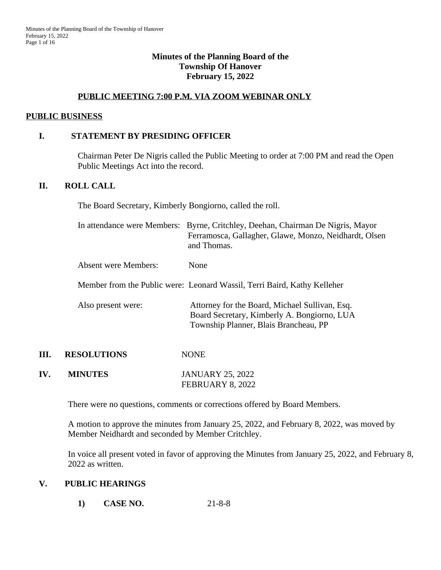#### **Minutes of the Planning Board of the Township Of Hanover February 15, 2022**

#### **PUBLIC MEETING 7:00 P.M. VIA ZOOM WEBINAR ONLY**

#### **PUBLIC BUSINESS**

#### **I. STATEMENT BY PRESIDING OFFICER**

Chairman Peter De Nigris called the Public Meeting to order at 7:00 PM and read the Open Public Meetings Act into the record.

#### **II. ROLL CALL**

The Board Secretary, Kimberly Bongiorno, called the roll.

|      |                      | In attendance were Members: Byrne, Critchley, Deehan, Chairman De Nigris, Mayor<br>Ferramosca, Gallagher, Glawe, Monzo, Neidhardt, Olsen<br>and Thomas. |
|------|----------------------|---------------------------------------------------------------------------------------------------------------------------------------------------------|
|      | Absent were Members: | None                                                                                                                                                    |
|      |                      | Member from the Public were: Leonard Wassil, Terri Baird, Kathy Kelleher                                                                                |
|      | Also present were:   | Attorney for the Board, Michael Sullivan, Esq.<br>Board Secretary, Kimberly A. Bongiorno, LUA<br>Township Planner, Blais Brancheau, PP                  |
| III. | <b>RESOLUTIONS</b>   | <b>NONE</b>                                                                                                                                             |
| IV.  | <b>MINUTES</b>       | <b>JANUARY 25, 2022</b>                                                                                                                                 |

FEBRUARY 8, 2022

There were no questions, comments or corrections offered by Board Members.

A motion to approve the minutes from January 25, 2022, and February 8, 2022, was moved by Member Neidhardt and seconded by Member Critchley.

In voice all present voted in favor of approving the Minutes from January 25, 2022, and February 8, 2022 as written.

#### **V. PUBLIC HEARINGS**

**1) CASE NO.** 21-8-8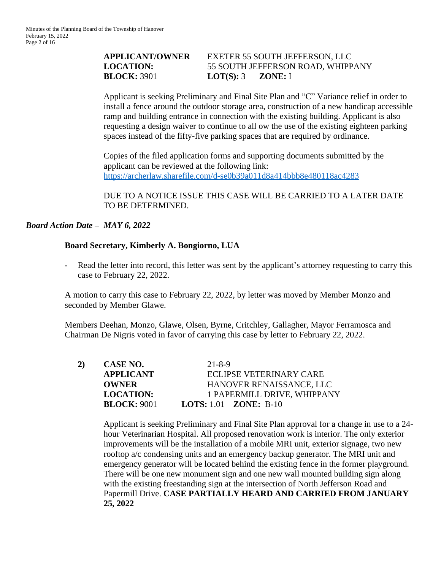## **APPLICANT/OWNER** EXETER 55 SOUTH JEFFERSON, LLC **LOCATION:** 55 SOUTH JEFFERSON ROAD, WHIPPANY **BLOCK:** 3901 **LOT(S):** 3 **ZONE:** I

Applicant is seeking Preliminary and Final Site Plan and "C" Variance relief in order to install a fence around the outdoor storage area, construction of a new handicap accessible ramp and building entrance in connection with the existing building. Applicant is also requesting a design waiver to continue to all ow the use of the existing eighteen parking spaces instead of the fifty-five parking spaces that are required by ordinance.

Copies of the filed application forms and supporting documents submitted by the applicant can be reviewed at the following link: <https://archerlaw.sharefile.com/d-se0b39a011d8a414bbb8e480118ac4283>

DUE TO A NOTICE ISSUE THIS CASE WILL BE CARRIED TO A LATER DATE TO BE DETERMINED.

## *Board Action Date – MAY 6, 2022*

#### **Board Secretary, Kimberly A. Bongiorno, LUA**

**-** Read the letter into record, this letter was sent by the applicant's attorney requesting to carry this case to February 22, 2022.

A motion to carry this case to February 22, 2022, by letter was moved by Member Monzo and seconded by Member Glawe.

Members Deehan, Monzo, Glawe, Olsen, Byrne, Critchley, Gallagher, Mayor Ferramosca and Chairman De Nigris voted in favor of carrying this case by letter to February 22, 2022.

| CASE NO.           | $21 - 8 - 9$                        |
|--------------------|-------------------------------------|
| <b>APPLICANT</b>   | ECLIPSE VETERINARY CARE             |
| <b>OWNER</b>       | HANOVER RENAISSANCE, LLC            |
| <b>LOCATION:</b>   | 1 PAPERMILL DRIVE, WHIPPANY         |
| <b>BLOCK: 9001</b> | <b>LOTS:</b> 1.01 <b>ZONE:</b> B-10 |
|                    |                                     |

Applicant is seeking Preliminary and Final Site Plan approval for a change in use to a 24 hour Veterinarian Hospital. All proposed renovation work is interior. The only exterior improvements will be the installation of a mobile MRI unit, exterior signage, two new rooftop a/c condensing units and an emergency backup generator. The MRI unit and emergency generator will be located behind the existing fence in the former playground. There will be one new monument sign and one new wall mounted building sign along with the existing freestanding sign at the intersection of North Jefferson Road and Papermill Drive. **CASE PARTIALLY HEARD AND CARRIED FROM JANUARY 25, 2022**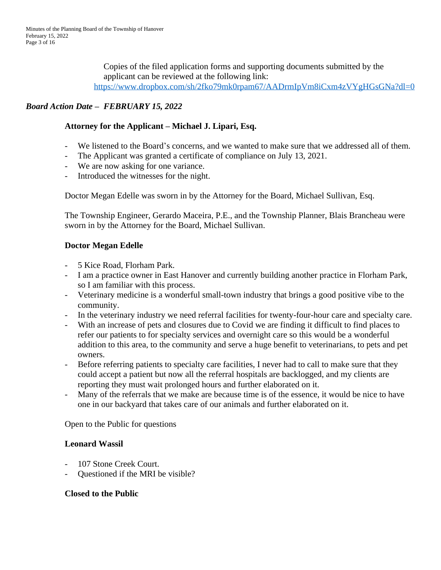Copies of the filed application forms and supporting documents submitted by the applicant can be reviewed at the following link: <https://www.dropbox.com/sh/2fko79mk0rpam67/AADrmIpVm8iCxm4zVYgHGsGNa?dl=0>

# *Board Action Date – FEBRUARY 15, 2022*

## **Attorney for the Applicant – Michael J. Lipari, Esq.**

- We listened to the Board's concerns, and we wanted to make sure that we addressed all of them.
- The Applicant was granted a certificate of compliance on July 13, 2021.
- We are now asking for one variance.
- Introduced the witnesses for the night.

Doctor Megan Edelle was sworn in by the Attorney for the Board, Michael Sullivan, Esq.

The Township Engineer, Gerardo Maceira, P.E., and the Township Planner, Blais Brancheau were sworn in by the Attorney for the Board, Michael Sullivan.

## **Doctor Megan Edelle**

- 5 Kice Road, Florham Park.
- I am a practice owner in East Hanover and currently building another practice in Florham Park, so I am familiar with this process.
- Veterinary medicine is a wonderful small-town industry that brings a good positive vibe to the community.
- In the veterinary industry we need referral facilities for twenty-four-hour care and specialty care.
- With an increase of pets and closures due to Covid we are finding it difficult to find places to refer our patients to for specialty services and overnight care so this would be a wonderful addition to this area, to the community and serve a huge benefit to veterinarians, to pets and pet owners.
- Before referring patients to specialty care facilities, I never had to call to make sure that they could accept a patient but now all the referral hospitals are backlogged, and my clients are reporting they must wait prolonged hours and further elaborated on it.
- Many of the referrals that we make are because time is of the essence, it would be nice to have one in our backyard that takes care of our animals and further elaborated on it.

Open to the Public for questions

## **Leonard Wassil**

- 107 Stone Creek Court.
- Questioned if the MRI be visible?

## **Closed to the Public**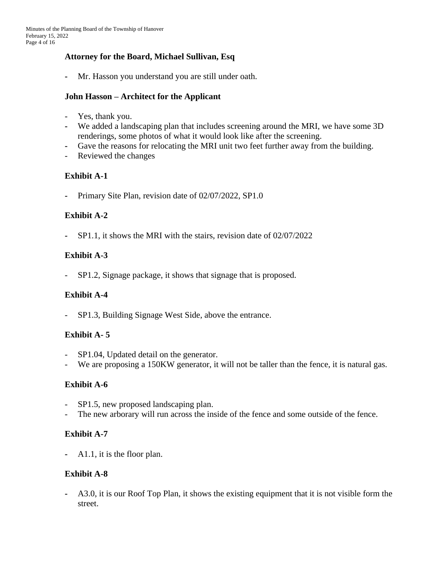## **Attorney for the Board, Michael Sullivan, Esq**

**-** Mr. Hasson you understand you are still under oath.

## **John Hasson – Architect for the Applicant**

- Yes, thank you.
- **-** We added a landscaping plan that includes screening around the MRI, we have some 3D renderings, some photos of what it would look like after the screening.
- **-** Gave the reasons for relocating the MRI unit two feet further away from the building.
- Reviewed the changes

## **Exhibit A-1**

**-** Primary Site Plan, revision date of 02/07/2022, SP1.0

## **Exhibit A-2**

**-** SP1.1, it shows the MRI with the stairs, revision date of 02/07/2022

## **Exhibit A-3**

- SP1.2, Signage package, it shows that signage that is proposed.

## **Exhibit A-4**

- SP1.3, Building Signage West Side, above the entrance.

## **Exhibit A- 5**

- SP1.04, Updated detail on the generator.
- We are proposing a 150KW generator, it will not be taller than the fence, it is natural gas.

## **Exhibit A-6**

- SP1.5, new proposed landscaping plan.
- The new arborary will run across the inside of the fence and some outside of the fence.

## **Exhibit A-7**

**-** A1.1, it is the floor plan.

## **Exhibit A-8**

**-** A3.0, it is our Roof Top Plan, it shows the existing equipment that it is not visible form the street.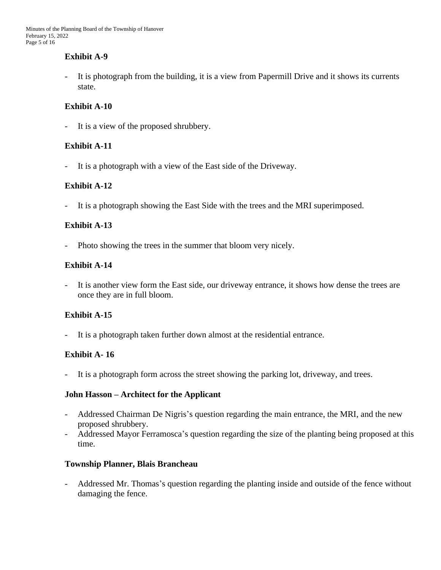## **Exhibit A-9**

- It is photograph from the building, it is a view from Papermill Drive and it shows its currents state.

## **Exhibit A-10**

- It is a view of the proposed shrubbery.

## **Exhibit A-11**

- It is a photograph with a view of the East side of the Driveway.

## **Exhibit A-12**

- It is a photograph showing the East Side with the trees and the MRI superimposed.

## **Exhibit A-13**

Photo showing the trees in the summer that bloom very nicely.

## **Exhibit A-14**

- It is another view form the East side, our driveway entrance, it shows how dense the trees are once they are in full bloom.

# **Exhibit A-15**

- It is a photograph taken further down almost at the residential entrance.

# **Exhibit A- 16**

- It is a photograph form across the street showing the parking lot, driveway, and trees.

## **John Hasson – Architect for the Applicant**

- Addressed Chairman De Nigris's question regarding the main entrance, the MRI, and the new proposed shrubbery.
- Addressed Mayor Ferramosca's question regarding the size of the planting being proposed at this time.

## **Township Planner, Blais Brancheau**

- Addressed Mr. Thomas's question regarding the planting inside and outside of the fence without damaging the fence.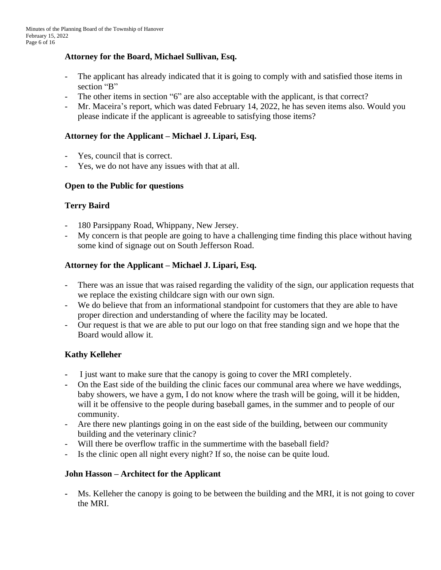## **Attorney for the Board, Michael Sullivan, Esq.**

- The applicant has already indicated that it is going to comply with and satisfied those items in section "B"
- The other items in section "6" are also acceptable with the applicant, is that correct?
- Mr. Maceira's report, which was dated February 14, 2022, he has seven items also. Would you please indicate if the applicant is agreeable to satisfying those items?

## **Attorney for the Applicant – Michael J. Lipari, Esq.**

- Yes, council that is correct.
- Yes, we do not have any issues with that at all.

## **Open to the Public for questions**

## **Terry Baird**

- 180 Parsippany Road, Whippany, New Jersey.
- My concern is that people are going to have a challenging time finding this place without having some kind of signage out on South Jefferson Road.

## **Attorney for the Applicant – Michael J. Lipari, Esq.**

- There was an issue that was raised regarding the validity of the sign, our application requests that we replace the existing childcare sign with our own sign.
- We do believe that from an informational standpoint for customers that they are able to have proper direction and understanding of where the facility may be located.
- Our request is that we are able to put our logo on that free standing sign and we hope that the Board would allow it.

# **Kathy Kelleher**

- **-** I just want to make sure that the canopy is going to cover the MRI completely.
- **-** On the East side of the building the clinic faces our communal area where we have weddings, baby showers, we have a gym, I do not know where the trash will be going, will it be hidden, will it be offensive to the people during baseball games, in the summer and to people of our community.
- Are there new plantings going in on the east side of the building, between our community building and the veterinary clinic?
- Will there be overflow traffic in the summertime with the baseball field?
- Is the clinic open all night every night? If so, the noise can be quite loud.

## **John Hasson – Architect for the Applicant**

**-** Ms. Kelleher the canopy is going to be between the building and the MRI, it is not going to cover the MRI.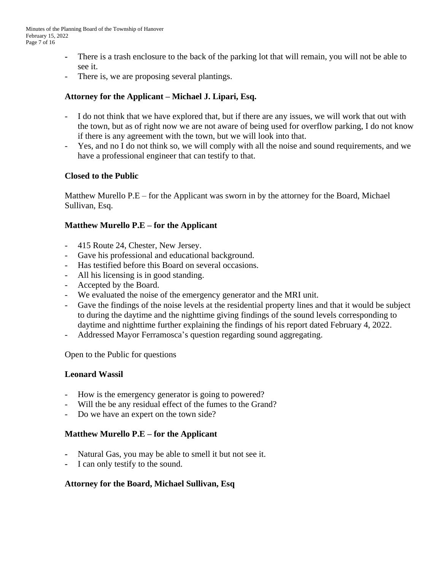- **-** There is a trash enclosure to the back of the parking lot that will remain, you will not be able to see it.
- There is, we are proposing several plantings.

## **Attorney for the Applicant – Michael J. Lipari, Esq.**

- I do not think that we have explored that, but if there are any issues, we will work that out with the town, but as of right now we are not aware of being used for overflow parking, I do not know if there is any agreement with the town, but we will look into that.
- Yes, and no I do not think so, we will comply with all the noise and sound requirements, and we have a professional engineer that can testify to that.

## **Closed to the Public**

Matthew Murello P.E – for the Applicant was sworn in by the attorney for the Board, Michael Sullivan, Esq.

## **Matthew Murello P.E – for the Applicant**

- 415 Route 24, Chester, New Jersey.
- Gave his professional and educational background.
- Has testified before this Board on several occasions.
- All his licensing is in good standing.
- Accepted by the Board.
- We evaluated the noise of the emergency generator and the MRI unit.
- Gave the findings of the noise levels at the residential property lines and that it would be subject to during the daytime and the nighttime giving findings of the sound levels corresponding to daytime and nighttime further explaining the findings of his report dated February 4, 2022.
- Addressed Mayor Ferramosca's question regarding sound aggregating.

Open to the Public for questions

## **Leonard Wassil**

- How is the emergency generator is going to powered?
- Will the be any residual effect of the fumes to the Grand?
- Do we have an expert on the town side?

## **Matthew Murello P.E – for the Applicant**

- **-** Natural Gas, you may be able to smell it but not see it.
- **-** I can only testify to the sound.

## **Attorney for the Board, Michael Sullivan, Esq**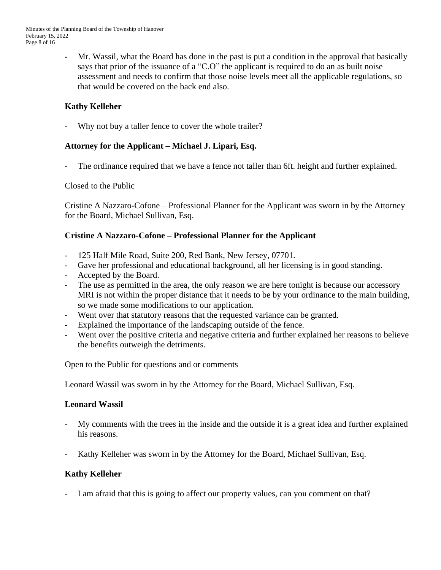**-** Mr. Wassil, what the Board has done in the past is put a condition in the approval that basically says that prior of the issuance of a "C.O" the applicant is required to do an as built noise assessment and needs to confirm that those noise levels meet all the applicable regulations, so that would be covered on the back end also.

# **Kathy Kelleher**

Why not buy a taller fence to cover the whole trailer?

## **Attorney for the Applicant – Michael J. Lipari, Esq.**

The ordinance required that we have a fence not taller than 6ft. height and further explained.

## Closed to the Public

Cristine A Nazzaro-Cofone – Professional Planner for the Applicant was sworn in by the Attorney for the Board, Michael Sullivan, Esq.

## **Cristine A Nazzaro-Cofone – Professional Planner for the Applicant**

- 125 Half Mile Road, Suite 200, Red Bank, New Jersey, 07701.
- Gave her professional and educational background, all her licensing is in good standing.
- Accepted by the Board.
- The use as permitted in the area, the only reason we are here tonight is because our accessory MRI is not within the proper distance that it needs to be by your ordinance to the main building, so we made some modifications to our application.
- Went over that statutory reasons that the requested variance can be granted.
- Explained the importance of the landscaping outside of the fence.
- Went over the positive criteria and negative criteria and further explained her reasons to believe the benefits outweigh the detriments.

Open to the Public for questions and or comments

Leonard Wassil was sworn in by the Attorney for the Board, Michael Sullivan, Esq.

# **Leonard Wassil**

- My comments with the trees in the inside and the outside it is a great idea and further explained his reasons.
- Kathy Kelleher was sworn in by the Attorney for the Board, Michael Sullivan, Esq.

# **Kathy Kelleher**

- I am afraid that this is going to affect our property values, can you comment on that?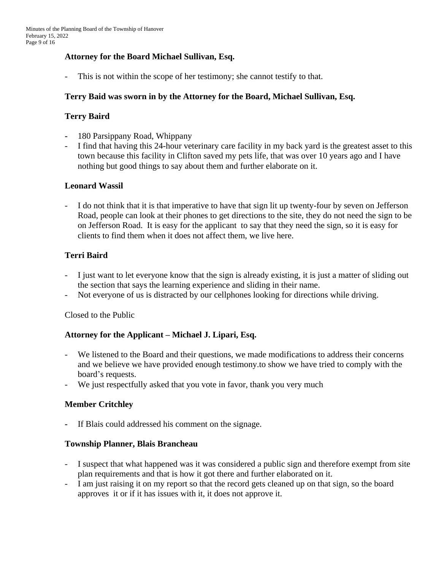## **Attorney for the Board Michael Sullivan, Esq.**

- This is not within the scope of her testimony; she cannot testify to that.

#### **Terry Baid was sworn in by the Attorney for the Board, Michael Sullivan, Esq.**

#### **Terry Baird**

- **-** 180 Parsippany Road, Whippany
- I find that having this 24-hour veterinary care facility in my back yard is the greatest asset to this town because this facility in Clifton saved my pets life, that was over 10 years ago and I have nothing but good things to say about them and further elaborate on it.

#### **Leonard Wassil**

I do not think that it is that imperative to have that sign lit up twenty-four by seven on Jefferson Road, people can look at their phones to get directions to the site, they do not need the sign to be on Jefferson Road. It is easy for the applicant to say that they need the sign, so it is easy for clients to find them when it does not affect them, we live here.

## **Terri Baird**

- I just want to let everyone know that the sign is already existing, it is just a matter of sliding out the section that says the learning experience and sliding in their name.
- Not everyone of us is distracted by our cellphones looking for directions while driving.

#### Closed to the Public

## **Attorney for the Applicant – Michael J. Lipari, Esq.**

- We listened to the Board and their questions, we made modifications to address their concerns and we believe we have provided enough testimony.to show we have tried to comply with the board's requests.
- We just respectfully asked that you vote in favor, thank you very much

## **Member Critchley**

**-** If Blais could addressed his comment on the signage.

#### **Township Planner, Blais Brancheau**

- I suspect that what happened was it was considered a public sign and therefore exempt from site plan requirements and that is how it got there and further elaborated on it.
- I am just raising it on my report so that the record gets cleaned up on that sign, so the board approves it or if it has issues with it, it does not approve it.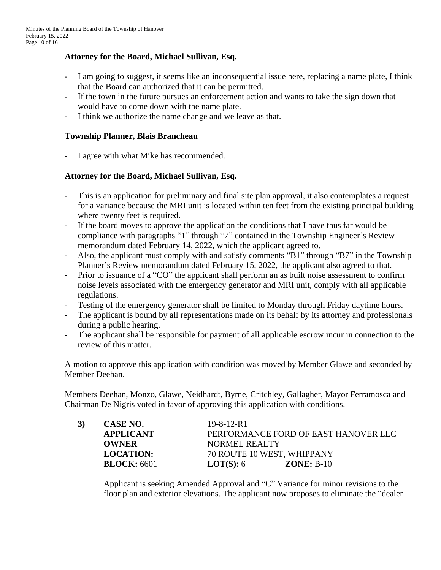## **Attorney for the Board, Michael Sullivan, Esq.**

- **-** I am going to suggest, it seems like an inconsequential issue here, replacing a name plate, I think that the Board can authorized that it can be permitted.
- **-** If the town in the future pursues an enforcement action and wants to take the sign down that would have to come down with the name plate.
- **-** I think we authorize the name change and we leave as that.

#### **Township Planner, Blais Brancheau**

**-** I agree with what Mike has recommended.

#### **Attorney for the Board, Michael Sullivan, Esq.**

- This is an application for preliminary and final site plan approval, it also contemplates a request for a variance because the MRI unit is located within ten feet from the existing principal building where twenty feet is required.
- If the board moves to approve the application the conditions that I have thus far would be compliance with paragraphs "1" through "7" contained in the Township Engineer's Review memorandum dated February 14, 2022, which the applicant agreed to.
- Also, the applicant must comply with and satisfy comments "B1" through "B7" in the Township Planner's Review memorandum dated February 15, 2022, the applicant also agreed to that.
- Prior to issuance of a "CO" the applicant shall perform an as built noise assessment to confirm noise levels associated with the emergency generator and MRI unit, comply with all applicable regulations.
- Testing of the emergency generator shall be limited to Monday through Friday daytime hours.
- The applicant is bound by all representations made on its behalf by its attorney and professionals during a public hearing.
- The applicant shall be responsible for payment of all applicable escrow incur in connection to the review of this matter.

A motion to approve this application with condition was moved by Member Glawe and seconded by Member Deehan.

Members Deehan, Monzo, Glawe, Neidhardt, Byrne, Critchley, Gallagher, Mayor Ferramosca and Chairman De Nigris voted in favor of approving this application with conditions.

| 3) | CASE NO.           | $19 - 8 - 12 - R1$                   |
|----|--------------------|--------------------------------------|
|    | <b>APPLICANT</b>   | PERFORMANCE FORD OF EAST HANOVER LLC |
|    | <b>OWNER</b>       | NORMEL REALTY                        |
|    | <b>LOCATION:</b>   | 70 ROUTE 10 WEST, WHIPPANY           |
|    | <b>BLOCK:</b> 6601 | <b>LOT(S):</b> $6$<br>$ZONE: B-10$   |

Applicant is seeking Amended Approval and "C" Variance for minor revisions to the floor plan and exterior elevations. The applicant now proposes to eliminate the "dealer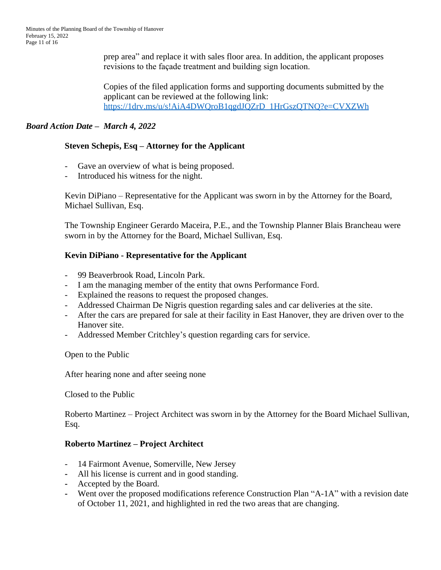prep area" and replace it with sales floor area. In addition, the applicant proposes revisions to the façade treatment and building sign location.

Copies of the filed application forms and supporting documents submitted by the applicant can be reviewed at the following link: [https://1drv.ms/u/s!AiA4DWQroB1qgdJQZrD\\_1HrGszQTNQ?e=CVXZWh](https://1drv.ms/u/s!AiA4DWQroB1qgdJQZrD_1HrGszQTNQ?e=CVXZWh)

## *Board Action Date – March 4, 2022*

## **Steven Schepis, Esq – Attorney for the Applicant**

- Gave an overview of what is being proposed.
- Introduced his witness for the night.

Kevin DiPiano – Representative for the Applicant was sworn in by the Attorney for the Board, Michael Sullivan, Esq.

The Township Engineer Gerardo Maceira, P.E., and the Township Planner Blais Brancheau were sworn in by the Attorney for the Board, Michael Sullivan, Esq.

## **Kevin DiPiano - Representative for the Applicant**

- 99 Beaverbrook Road, Lincoln Park.
- I am the managing member of the entity that owns Performance Ford.
- Explained the reasons to request the proposed changes.
- Addressed Chairman De Nigris question regarding sales and car deliveries at the site.
- After the cars are prepared for sale at their facility in East Hanover, they are driven over to the Hanover site.
- Addressed Member Critchley's question regarding cars for service.

Open to the Public

After hearing none and after seeing none

Closed to the Public

Roberto Martinez – Project Architect was sworn in by the Attorney for the Board Michael Sullivan, Esq.

## **Roberto Martinez – Project Architect**

- 14 Fairmont Avenue, Somerville, New Jersey
- **-** All his license is current and in good standing.
- **-** Accepted by the Board.
- **-** Went over the proposed modifications reference Construction Plan "A-1A" with a revision date of October 11, 2021, and highlighted in red the two areas that are changing.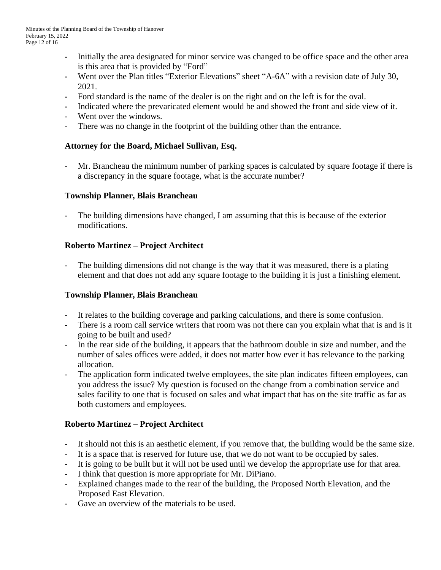- **-** Initially the area designated for minor service was changed to be office space and the other area is this area that is provided by "Ford"
- **-** Went over the Plan titles "Exterior Elevations" sheet "A-6A" with a revision date of July 30, 2021.
- **-** Ford standard is the name of the dealer is on the right and on the left is for the oval.
- **-** Indicated where the prevaricated element would be and showed the front and side view of it.
- Went over the windows.
- There was no change in the footprint of the building other than the entrance.

## **Attorney for the Board, Michael Sullivan, Esq.**

Mr. Brancheau the minimum number of parking spaces is calculated by square footage if there is a discrepancy in the square footage, what is the accurate number?

## **Township Planner, Blais Brancheau**

- The building dimensions have changed, I am assuming that this is because of the exterior modifications.

## **Roberto Martinez – Project Architect**

The building dimensions did not change is the way that it was measured, there is a plating element and that does not add any square footage to the building it is just a finishing element.

## **Township Planner, Blais Brancheau**

- It relates to the building coverage and parking calculations, and there is some confusion.
- There is a room call service writers that room was not there can you explain what that is and is it going to be built and used?
- In the rear side of the building, it appears that the bathroom double in size and number, and the number of sales offices were added, it does not matter how ever it has relevance to the parking allocation.
- The application form indicated twelve employees, the site plan indicates fifteen employees, can you address the issue? My question is focused on the change from a combination service and sales facility to one that is focused on sales and what impact that has on the site traffic as far as both customers and employees.

# **Roberto Martinez – Project Architect**

- It should not this is an aesthetic element, if you remove that, the building would be the same size.
- It is a space that is reserved for future use, that we do not want to be occupied by sales.
- It is going to be built but it will not be used until we develop the appropriate use for that area.
- I think that question is more appropriate for Mr. DiPiano.
- Explained changes made to the rear of the building, the Proposed North Elevation, and the Proposed East Elevation.
- Gave an overview of the materials to be used.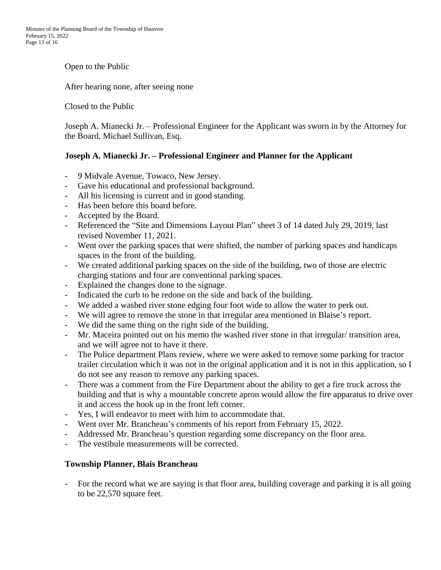Open to the Public

After hearing none, after seeing none

Closed to the Public

Joseph A. Mianecki Jr. – Professional Engineer for the Applicant was sworn in by the Attorney for the Board, Michael Sullivan, Esq.

#### **Joseph A. Mianecki Jr. – Professional Engineer and Planner for the Applicant**

- 9 Midvale Avenue, Towaco, New Jersey.
- Gave his educational and professional background.
- All his licensing is current and in good standing.
- Has been before this board before.
- Accepted by the Board.
- Referenced the "Site and Dimensions Layout Plan" sheet 3 of 14 dated July 29, 2019, last revised November 11, 2021.
- Went over the parking spaces that were shifted, the number of parking spaces and handicaps spaces in the front of the building.
- We created additional parking spaces on the side of the building, two of those are electric charging stations and four are conventional parking spaces.
- Explained the changes done to the signage.
- Indicated the curb to be redone on the side and back of the building.
- We added a washed river stone edging four foot wide to allow the water to perk out.
- We will agree to remove the stone in that irregular area mentioned in Blaise's report.
- We did the same thing on the right side of the building.
- Mr. Maceira pointed out on his memo the washed river stone in that irregular/ transition area, and we will agree not to have it there.
- The Police department Plans review, where we were asked to remove some parking for tractor trailer circulation which it was not in the original application and it is not in this application, so I do not see any reason to remove any parking spaces.
- There was a comment from the Fire Department about the ability to get a fire truck across the building and that is why a mountable concrete apron would allow the fire apparatus to drive over it and access the hook up in the front left corner.
- Yes, I will endeavor to meet with him to accommodate that.
- Went over Mr. Brancheau's comments of his report from February 15, 2022.
- Addressed Mr. Brancheau's question regarding some discrepancy on the floor area.
- The vestibule measurements will be corrected.

#### **Township Planner, Blais Brancheau**

- For the record what we are saying is that floor area, building coverage and parking it is all going to be 22,570 square feet.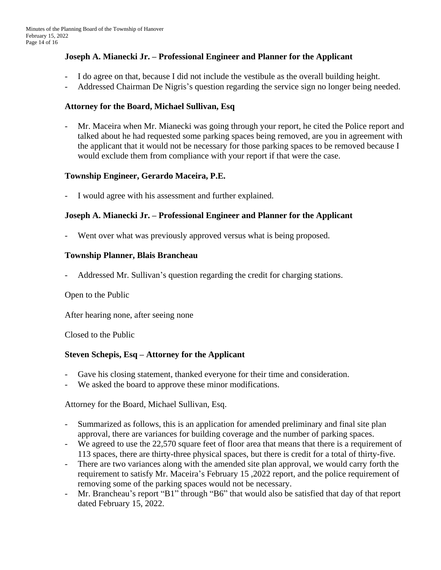#### **Joseph A. Mianecki Jr. – Professional Engineer and Planner for the Applicant**

- I do agree on that, because I did not include the vestibule as the overall building height.
- Addressed Chairman De Nigris's question regarding the service sign no longer being needed.

#### **Attorney for the Board, Michael Sullivan, Esq**

- Mr. Maceira when Mr. Mianecki was going through your report, he cited the Police report and talked about he had requested some parking spaces being removed, are you in agreement with the applicant that it would not be necessary for those parking spaces to be removed because I would exclude them from compliance with your report if that were the case.

## **Township Engineer, Gerardo Maceira, P.E.**

I would agree with his assessment and further explained.

## **Joseph A. Mianecki Jr. – Professional Engineer and Planner for the Applicant**

Went over what was previously approved versus what is being proposed.

#### **Township Planner, Blais Brancheau**

- Addressed Mr. Sullivan's question regarding the credit for charging stations.

Open to the Public

After hearing none, after seeing none

Closed to the Public

## **Steven Schepis, Esq – Attorney for the Applicant**

- Gave his closing statement, thanked everyone for their time and consideration.
- We asked the board to approve these minor modifications.

Attorney for the Board, Michael Sullivan, Esq.

- Summarized as follows, this is an application for amended preliminary and final site plan approval, there are variances for building coverage and the number of parking spaces.
- We agreed to use the 22,570 square feet of floor area that means that there is a requirement of 113 spaces, there are thirty-three physical spaces, but there is credit for a total of thirty-five.
- There are two variances along with the amended site plan approval, we would carry forth the requirement to satisfy Mr. Maceira's February 15 ,2022 report, and the police requirement of removing some of the parking spaces would not be necessary.
- Mr. Brancheau's report "B1" through "B6" that would also be satisfied that day of that report dated February 15, 2022.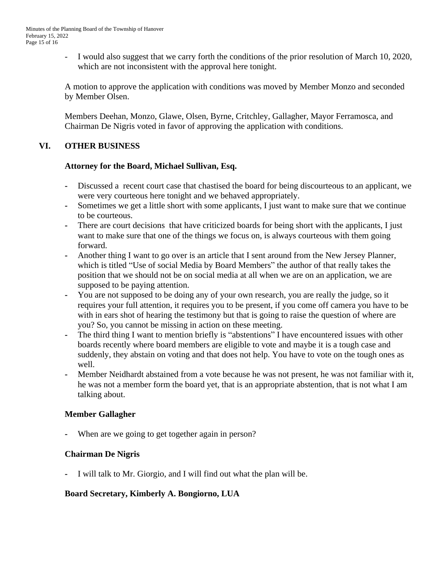I would also suggest that we carry forth the conditions of the prior resolution of March 10, 2020, which are not inconsistent with the approval here tonight.

A motion to approve the application with conditions was moved by Member Monzo and seconded by Member Olsen.

Members Deehan, Monzo, Glawe, Olsen, Byrne, Critchley, Gallagher, Mayor Ferramosca, and Chairman De Nigris voted in favor of approving the application with conditions.

## **VI. OTHER BUSINESS**

#### **Attorney for the Board, Michael Sullivan, Esq.**

- **-** Discussed a recent court case that chastised the board for being discourteous to an applicant, we were very courteous here tonight and we behaved appropriately.
- **-** Sometimes we get a little short with some applicants, I just want to make sure that we continue to be courteous.
- **-** There are court decisions that have criticized boards for being short with the applicants, I just want to make sure that one of the things we focus on, is always courteous with them going forward.
- **-** Another thing I want to go over is an article that I sent around from the New Jersey Planner, which is titled "Use of social Media by Board Members" the author of that really takes the position that we should not be on social media at all when we are on an application, we are supposed to be paying attention.
- **-** You are not supposed to be doing any of your own research, you are really the judge, so it requires your full attention, it requires you to be present, if you come off camera you have to be with in ears shot of hearing the testimony but that is going to raise the question of where are you? So, you cannot be missing in action on these meeting.
- **-** The third thing I want to mention briefly is "abstentions" I have encountered issues with other boards recently where board members are eligible to vote and maybe it is a tough case and suddenly, they abstain on voting and that does not help. You have to vote on the tough ones as well.
- **-** Member Neidhardt abstained from a vote because he was not present, he was not familiar with it, he was not a member form the board yet, that is an appropriate abstention, that is not what I am talking about.

## **Member Gallagher**

**-** When are we going to get together again in person?

## **Chairman De Nigris**

**-** I will talk to Mr. Giorgio, and I will find out what the plan will be.

## **Board Secretary, Kimberly A. Bongiorno, LUA**